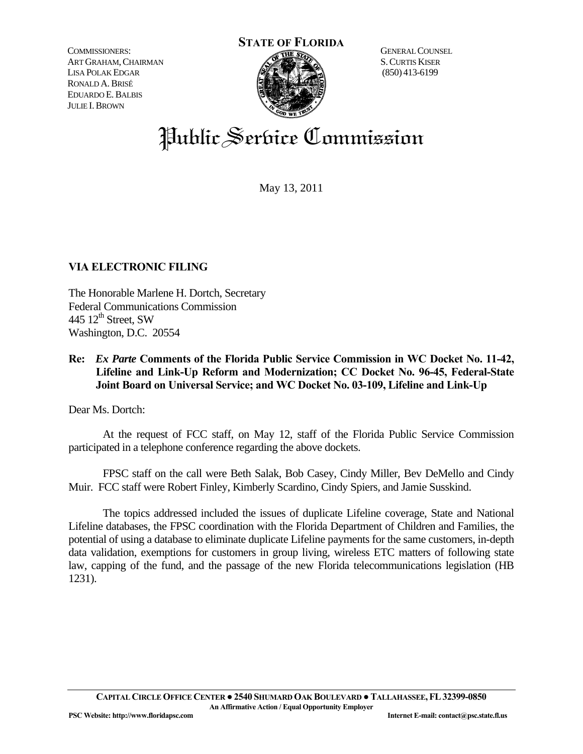COMMISSIONERS: ART GRAHAM,CHAIRMAN LISA POLAK EDGAR RONALD A.BRISÉ EDUARDO E.BALBIS JULIE I.BROWN



 S.CURTIS KISER (850) 413-6199

## Public Service Commission

May 13, 2011

## **VIA ELECTRONIC FILING**

The Honorable Marlene H. Dortch, Secretary Federal Communications Commission 445  $12<sup>th</sup>$  Street, SW Washington, D.C. 20554

## **Re:** *Ex Parte* **Comments of the Florida Public Service Commission in WC Docket No. 11-42, Lifeline and Link-Up Reform and Modernization; CC Docket No. 96-45, Federal-State Joint Board on Universal Service; and WC Docket No. 03-109, Lifeline and Link-Up**

Dear Ms. Dortch:

 At the request of FCC staff, on May 12, staff of the Florida Public Service Commission participated in a telephone conference regarding the above dockets.

 FPSC staff on the call were Beth Salak, Bob Casey, Cindy Miller, Bev DeMello and Cindy Muir. FCC staff were Robert Finley, Kimberly Scardino, Cindy Spiers, and Jamie Susskind.

 The topics addressed included the issues of duplicate Lifeline coverage, State and National Lifeline databases, the FPSC coordination with the Florida Department of Children and Families, the potential of using a database to eliminate duplicate Lifeline payments for the same customers, in-depth data validation, exemptions for customers in group living, wireless ETC matters of following state law, capping of the fund, and the passage of the new Florida telecommunications legislation (HB 1231).